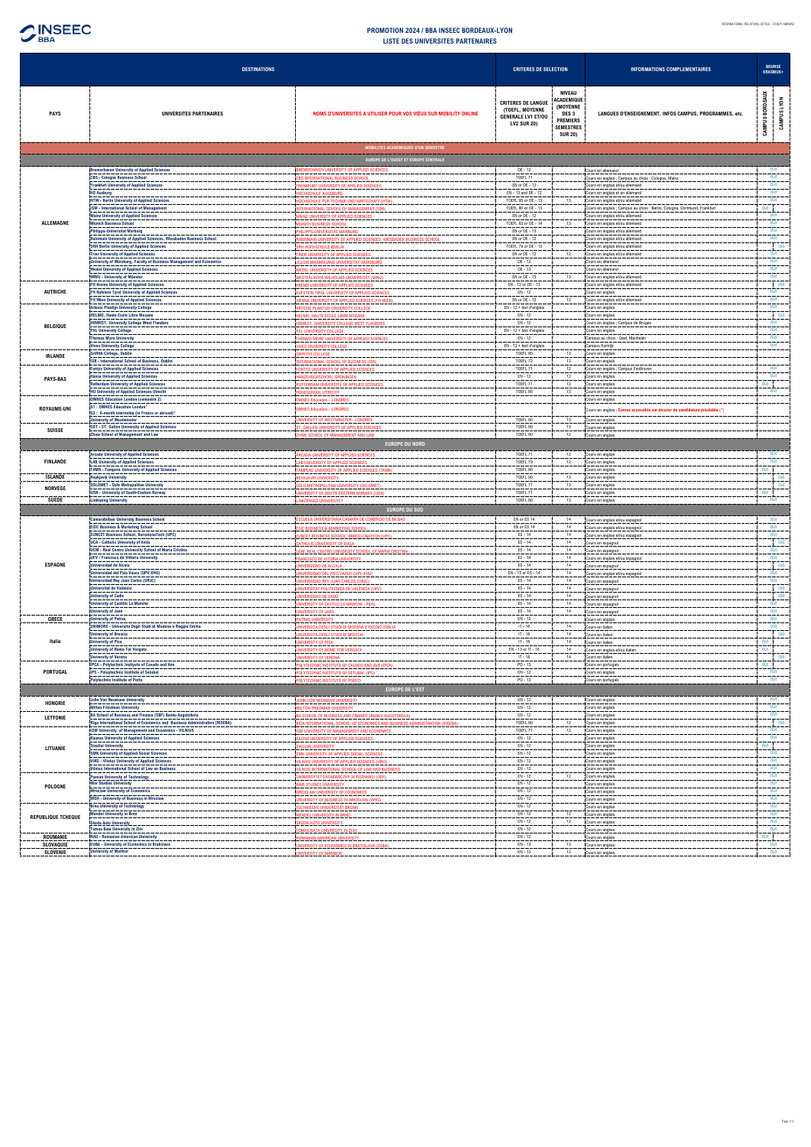

| <b>DESTINATIONS</b>       |                                                                                                                        | <b>CRITERES DE SELECTION</b>                                                                      |                                                                                                 | <b>INFORMATIONS COMPLEMENTAIRES</b>                                                                |                                                                                                              |                                |
|---------------------------|------------------------------------------------------------------------------------------------------------------------|---------------------------------------------------------------------------------------------------|-------------------------------------------------------------------------------------------------|----------------------------------------------------------------------------------------------------|--------------------------------------------------------------------------------------------------------------|--------------------------------|
| <b>PAYS</b>               | UNIVERSITES PARTENAIRES                                                                                                | NOMS D'UNIVERSITES A UTILISER POUR VOS VŒUX SUR MOBILITY ONLINE                                   | <b>CRITERES DE LANGUE</b><br>(TOEFL, MOYENNE<br><b>GENERALE LV1 ET/OU</b><br><b>LV2 SUR 20)</b> | NIVEAU<br>ACADEMIQUE<br>(MOYENNE<br>DES 3<br><b>PREMIERS</b><br><b>SEMESTRES</b><br><b>SUR 20)</b> | LANGUES D'ENSEIGNEMENT, INFOS CAMPUS, PROGRAMMES, etc.                                                       | CAMPUS BORDEAUX<br>CAMPUS LYON |
|                           |                                                                                                                        | MOBILITES ACADEMIQUES D'UN SEMESTRE<br>EUROPE DE L'OUEST ET EUROPE CENTRALE                       |                                                                                                 |                                                                                                    |                                                                                                              |                                |
|                           | <b>Bremerhaven University of Applied Sciences</b>                                                                      | BREMERHAVEN UNIVERSITY OF APPLIED SCIENCES                                                        | DE - 12                                                                                         |                                                                                                    | Cours en allemand                                                                                            | OUI                            |
|                           | <b>CBS - Cologne Business School</b><br><b>Frankfurt University of Applied Sciences</b>                                | CBS INTERNATIONAL BUSINESS SCHOOL<br><b>FRANKFURT UNIVERSITY OF APPLIED SCIENCES</b>              | TOEFL 71<br>EN or DE - 12                                                                       |                                                                                                    | Cours en anglais ; Campus au choix : Cologne, Mainz<br>Cours en anglais et/ou allemand                       | OUI<br>OUI                     |
|                           | <b>HS Ausburg</b>                                                                                                      | <b>HOCHSCHULE AUGSBURG</b>                                                                        | EN - 13 and DE - 12                                                                             |                                                                                                    | Cours en anglais et en allemand                                                                              | OUI<br>OUI                     |
|                           | <b>HTW - Berlin University of Applied Sciences</b><br><b>ISM - International School of Management</b>                  | HOCHSCHULE FÜR TECHNIK UND WIRTSCHAFT (HTW<br>NTERNATIONAL SCHOOL OF MANAGEMENT (ISM)             | TOEFL 95 or DE - 13<br>TOEFL 80 or DE - 13                                                      | 13                                                                                                 | Cours en anglais et/ou allemand<br>Cours en anglais ; Campus au choix : Berlin, Cologne, Dortmund, Frankfurt | OUI                            |
| ALLEMAGNE                 | <b>Mainz University of Applied Sciences</b><br><b>Munich Business School</b>                                           | <b>AAINZ UNIVERSITY OF APPLIED SCIENCES</b><br><b>MUNICH BUSINESS SCHOOL</b>                      | EN or DE - 12<br>TOEFL 83 or DE - 14                                                            | 13                                                                                                 | Cours en anglais et/ou allemand<br>Cours en anglais et/ou allemand                                           | OUI<br>OUI                     |
|                           | <b>Philipps-Universitat Marburg</b>                                                                                    | PHILIPPS-UNIVERSITÄT MARBURG                                                                      | EN or DE - 13                                                                                   |                                                                                                    | Cours en anglais et/ou allemand                                                                              | OUI                            |
|                           | Reinmain University of Applied Sciences, Wiesbaden Business School<br><b>SRH Berlin University of Applied Sciences</b> | RHEINMAIN UNIVERSITY OF APPLIED SCIENCES, WIESBADEN BUSINESS SCHOOI<br>SRH HOCHSCHULE BERLIN      | EN or DE - 12<br>TOEFL 79 or DE - 13                                                            |                                                                                                    | Cours en anglais et/ou allemand<br>Cours en anglais et/ou allemand                                           | OUI<br>$\blacksquare$ OUI      |
|                           | <b>Trier University of Applied Sciences</b><br>University of Würzburg, Faculty of Business Management and Economics    | TRIER UNIVERSITY OF APPLIED SCIENCES<br>JULIUS MAXIMILIANS UNIVERSITAT WURZBURG                   | EN or DE - 12<br>DE - 12                                                                        | 12                                                                                                 | Cours en anglais et/ou allemand<br>Cours en allemand                                                         | OUI<br>OUI                     |
|                           | <b>Wedel University of Applied Sciences</b>                                                                            | <b><i>NEDEL UNIVERSITY OF APPLIED SCIENCES</i></b>                                                | DE - 13                                                                                         |                                                                                                    | Cours en allemand                                                                                            | OUI                            |
|                           | <b>WWU - University of Münster</b><br><b>FH Krems University of Applied Sciences</b>                                   | VESTFÄLISCHE WILHELMS-UNIVERSITÄT (WWU)<br><b>KREMS UNIVERSITY OF APPLIED SCIENCES</b>            | EN or DE - 13<br>EN - 12 or DE - 13                                                             | 13                                                                                                 | Cours en anglais et/ou allemand<br>Cours en anglais et/ou allemand                                           | OUI<br>OUI                     |
| <b>AUTRICHE</b>           | FH Kufstein Tyrol University of Applied Sciences<br><b>FH Wien University of Applied Sciences</b>                      | KUFSTEIN TIROL UNIVERSITY OF APPLIED SCIENCES                                                     | $EN - 12$<br>EN or DE - 12                                                                      | 12                                                                                                 | Cours en anglais<br>Cours en anglais et/ou allemand                                                          | OUI<br>OUI                     |
|                           | <b>Artesis Plantijn University College</b>                                                                             | <b>IENNA UNIVERSITY OF APPLIED SCIENCES (FH WIEN)</b><br>ARTESIS PLANTIJN UNIVERSITY COLLEGE      | $EN - 12 + test$ d'anglais                                                                      |                                                                                                    | Cours en anglais                                                                                             | OUI                            |
|                           | <b>HELMO, Haute Ecole Libre Mosane</b><br><b>HOWEST, University College West Flanders</b>                              | HELMO. HAUTE ECOLE LIBRE MOSANE<br><b>IOWEST, UNIVERSITY COLLEGE WEST FLANDERS</b>                | $EN - 12$<br>EN - 12                                                                            |                                                                                                    | Cours en anglais<br>Cours en anglais ; Campus de Bruges                                                      | OUI<br>OUI                     |
| <b>BELGIQUE</b>           | <b>PXL University College</b><br><b>Thomas More University</b>                                                         | PXL UNIVERSITY COLLEGE                                                                            | $EN - 12 + test$ d'anglais<br>$EN - 12$                                                         |                                                                                                    | Cours en anglais                                                                                             | OUI<br>OUI                     |
|                           | <b>Vives University College</b>                                                                                        | THOMAS MORE UNIVERSITY OF APPLIED SCIENCES<br><b>IVES UNIVERSITY COLLEGE</b>                      | EN - 12 + test d'anglais                                                                        |                                                                                                    | Campus au choix : Geel, Mechelen<br>Campus Kortrijk                                                          | OUI                            |
| <b>IRLANDE</b>            | <b>Griffith College, Dublin</b><br><b>ISB - International School of Business, Dublin</b>                               | <b>GRIFFITH COLLEGE</b><br><b>ITERNATIONAL SCHOOL OF BUSINESS (ISB)</b>                           | TOEFL 80<br>TOEFL 72                                                                            | 13<br>13                                                                                           | Cours en anglais<br>Cours en anglais                                                                         |                                |
|                           | <b>Fontys University of Applied Sciences</b>                                                                           | FONTYS UNIVERSITY OF APPLIED SCIENCES                                                             | TOEFL 71                                                                                        | 12                                                                                                 | Cours en anglais ; Campus Eindhoven                                                                          | OUI<br>OUI                     |
| <b>PAYS-BAS</b>           | <b>Hanze University of Applied Sciences</b><br><b>Rotterdam University of Applied Sciences</b>                         | HANZEHOGESCHOOL GRONINGEN<br>ROTTERDAM UNIVERSITY OF APPLIED SCIENCES                             | EN - 12<br>TOEFL <sub>71</sub>                                                                  | 12<br>12                                                                                           | Cours en anglais<br>Cours en anglais                                                                         | OUI                            |
|                           | <b>HU University of Applied Sciences Utrecht</b><br><b>OMNES Education London (semestre 2)</b>                         | <b>IOGESCHOOL UTRECHT</b><br><b>DMNES Education - LONDRES</b>                                     | TOEFL 80                                                                                        | 13                                                                                                 | Cours en anglais<br>Cours en anglais                                                                         | <b>OUI</b>                     |
| <b>ROYAUME-UNI</b>        | <b>S1: OMNES Education London*</b><br>S2 : 6-month internship (in France or abroad)*                                   | <b>IMNES Education - LONDRES</b>                                                                  |                                                                                                 |                                                                                                    | Cours en anglais ; Cursus accessible sur dossier de candidature préalable (*)                                |                                |
|                           | <b>University of Westminster</b>                                                                                       | UNIVERSITY OF WESTMINSTER - LONDRES                                                               | TOEFL 80                                                                                        | 13                                                                                                 | Cours en anglais                                                                                             |                                |
| <b>SUISSE</b>             | <b>OST - ST. Gallen University of Applied Sciences</b><br><b>Zhaw School of Management and Law</b>                     | ST. GALLEN UNIVERSITY OF APPLIED SCIENCES<br>ZHAW SCHOOL OF MANAGEMENT AND LAW                    | TOEFL 80<br>TOEFL 80                                                                            | 13<br>12                                                                                           | Cours en anglais<br>Cours en anglais                                                                         |                                |
|                           |                                                                                                                        | <b>EUROPE DU NORD</b>                                                                             |                                                                                                 |                                                                                                    |                                                                                                              |                                |
| <b>FINLANDE</b>           | <b>Arcada University of Applied Sciences</b><br><b>LAB University of Applied Sciences</b>                              | ARCADA UNIVERSITY OF APPLIED SCIENCES<br>LAB UNIVERSITY OF APPLIED SCIENCES                       | TOEFL 71<br>TOEFL 79                                                                            | 12<br>12                                                                                           | Cours en anglais<br>Cours en anglais                                                                         | OUI<br>OUI                     |
|                           | <b>TAMK - Tampere University of Applied Sciences</b>                                                                   | TAMPERE UNIVERSITY OF APPLIED SCIENCES (TAMK                                                      | TOEFL 80                                                                                        |                                                                                                    | Cours en anglais                                                                                             | OUI                            |
| ISLANDE<br><b>NORVEGE</b> | <b>Reykjavik University</b><br><b>OSLOMET - Oslo Metropolitan University</b>                                           | <b>REYKJAVIK UNIVERSITY</b><br>OSLO METROPOLITAN UNIVERSITY (OSLOMET)                             | TOEFL 90<br>TOEFL 71                                                                            | 13<br>13                                                                                           | Cours en anglais<br>Cours en anglais                                                                         | OUI<br>OUI                     |
| <b>SUEDE</b>              | <b>USN - University of South-Eastern Norway</b><br><b>Linköping University</b>                                         | UNIVERSITY OF SOUTH EASTERN NORWAY (USN)<br>LINKÖPINGS UNIVERSITET                                | TOEFL 71<br>TOEFL 80                                                                            | 13                                                                                                 | Cours en anglais<br>Cours en anglais                                                                         | <b>OUI</b><br>OUI              |
|                           |                                                                                                                        | <b>EUROPE DU SUD</b>                                                                              |                                                                                                 |                                                                                                    |                                                                                                              |                                |
|                           | <b>Cámarabilbao University Business School</b><br><b>ESIC Business &amp; Marketing School</b>                          | ESCUELA UNIVERSITARIA CAMARA DE COMERCIO DE BILBAO<br><b>ESIC BUSINESS &amp; MARKETING SCHOOL</b> | EN or ES 14<br>EN or ES 14                                                                      | 14<br>14                                                                                           | Cours en anglais et/ou espagnol<br>Cours en anglais et/ou espagnol                                           | OUI<br>OUI                     |
|                           | <b>EUNCET Business School, BarcelonaTech (UPC)</b>                                                                     | EUNCET BUSINESS SCHOOL, BARCELONATECH (UPC)                                                       | ES-14                                                                                           | 14                                                                                                 | Cours en anglais et/ou espagnol                                                                              | OUI                            |
|                           | <b>UCA - Catholic University of Avila</b><br><b>UCM - Real Centro University School of Maria Cristina</b>              | CATHOLIC UNIVERSITY OF AVILA<br>UCM, REAL CENTRO UNIVERSITY SCHOOL OF MARIA CRISTINA              | ES-14<br>ES-14                                                                                  | 14<br>14                                                                                           | Cours en espagnol<br>Cours en espagnol                                                                       | OUI<br>OUI                     |
| <b>ESPAGNE</b>            | <b>UFV - Francisco de Vittoria University</b><br>Universidad de Alcala                                                 | <b>FRANCISCO DE VITORIA UNIVERSITY</b>                                                            | ES-14<br>ES-14                                                                                  | 14                                                                                                 | Cours en anglais et/ou espagnol                                                                              | OUI<br>OUI                     |
|                           | Universidad del Pais Vasco (UPV-EHU)                                                                                   | NIVERSIDAD DE ALCALA<br>UNIVERSIDAD DEL PAIS VASCO (UPV-EHU)                                      | EN - 13 or ES - 14                                                                              | 14<br>14                                                                                           | Cours en espagnol<br>Cours en anglais et/ou espagnol                                                         | OUI                            |
|                           | <b>Universidad Rey Juan Carlos (URJC)</b><br><b>Universitat de Valencia</b>                                            | UNIVERSIDAD REY JUAN CARLOS (URJC)<br><b>INIVERSITAT POLITÈCNICA DE VALÈNCIA (UPV)</b>            | ES-14<br>ES-14                                                                                  | 14<br>14                                                                                           | Cours en espagnol<br>Cours en espagnol                                                                       | OUI<br>OUI                     |
|                           | <b>University of Cadiz</b>                                                                                             | UNIVERSIDAD DE CADIZ                                                                              | ES-14                                                                                           | 14                                                                                                 | Cours en espagnol                                                                                            | $\overline{\phantom{0}}$ oul   |
|                           | <b>University of Castille La Mancha</b><br><b>University of Jaen</b>                                                   | UNIVERSITY OF CASTILE LA MANCHA - REAL<br><b>JNIVERSITY OF JAEN</b>                               | ES-14<br>ES-14                                                                                  | 14<br>14                                                                                           | Cours en espagnol<br>Cours en espagnol                                                                       | OUI<br>OUI                     |
| <b>GRECE</b>              | <b>University of Patras</b><br>UNIMORE - Universita Degli Studi di Modena e Reggio Emilia                              | <b>PATRAS UNIVERSITY</b><br>INIVERSITA DEGLI STUDI DI MODENA E REGGIO EMILIA                      | $EN - 12$<br>$IT - 16$                                                                          | 14                                                                                                 | Cours en anglais<br>Cours en italien                                                                         | OUI<br>OUI                     |
| Italie                    | <b>University of Brescia</b><br><b>University of Pisa</b>                                                              | <b>JNIVERSITA DEGLI STUDI DI BRESCIA</b>                                                          | $IT - 16$<br>$IT - 16$                                                                          | 14<br>14                                                                                           | Cours en italien                                                                                             | $\sim$ 001<br>OUI              |
|                           | <b>University of Rome Tor Vergata</b>                                                                                  | <b>JNIVERSITY OF PISA</b><br>UNIVERSITY OF ROME TOR VERGATA                                       | EN - 13 or IT - 16                                                                              | 14                                                                                                 | Cours en italien<br>Cours en anglais et/ou italien                                                           | OUI                            |
|                           | <b>University of Verona</b><br><b>IPCA - Polytechnic Instiyute of Cavado and Ave</b>                                   | <b>UNIVERSITY OF VERONA</b><br>POLYTECHNIC INSTITUTE OF CAVADO AND AVE (IPCA)                     | $IT - 16$<br>$PO - 13$                                                                          | 14                                                                                                 | Cours en italien<br>Cours en portugais                                                                       | OUI<br>OUI                     |
| PORTUGAL                  | IPS - Poluytechnic Institute of Setubal                                                                                | POLYTECHNIC INSTITUTE OF SETUBAL (IPS)                                                            | $EN - 12$                                                                                       |                                                                                                    | Cours en anglais                                                                                             | OUI                            |
|                           | <b>Polytechnic Institute of Porto</b>                                                                                  | POLYTECHNIC INSTITUTE OF PORTO<br><b>EUROPE DE L'EST</b>                                          | PO - 13                                                                                         |                                                                                                    | Cours en portugais                                                                                           | OUI                            |
| <b>HONGRIE</b>            | <b>John Von Neumann University</b>                                                                                     | JOHN VON NEUMANN UNIVERSITY                                                                       | EN - 12                                                                                         |                                                                                                    | Cours en anglais                                                                                             | OUI                            |
|                           | <b>Milton Friedman University</b><br><b>BA School of Business and Finance (SBF) Banku Augstsikola</b>                  | MILTON FRIEDMAN UNIVERSITY<br>BA SCHOOL OF BUSINESS AND FINANCE (BANKU AUGSTSKOLA)                | $EN - 12$<br>EN - 12                                                                            |                                                                                                    | Cours en anglais<br>Cours en anglais                                                                         | OUI<br>OUI                     |
| LETTONIE                  | Riga International School of Economics and Business Administration (RISEBA)                                            | RIGA INTERNATIONAL SCHOOL OF ECONOMICS AND BUSINESS ADMINISTRATION (RISEBA)                       | TOEFL 80                                                                                        | 12                                                                                                 | Cours en anglais                                                                                             | OUI                            |
|                           | ISM University of Management and Economics - VILNIUS<br><b>Kaunas University of Applied Sciences</b>                   | ISM UNIVERSITY OF MANAGEMENT AND ECONOMICS<br>KAUNO UNIVERSITY OF APPLIED SCIENCES                | TOEFL 71<br>$EN - 12$                                                                           | 12                                                                                                 | Cours en anglais<br>Cours en anglais                                                                         | OUI<br>OUI                     |
| LITUANIE                  | <b>Siauliai University</b><br><b>SMK University of Applied Social Sciences</b>                                         | SIAULIAI UNIVERSITY<br>SMK UNIVERSITY OF APPLIED SOCIAL SCIENCES                                  | EN - 12<br>EN - 12                                                                              |                                                                                                    | Cours en anglais<br>Cours en anglais                                                                         | <b>OUI</b><br>OUI              |
|                           | <b>VIKO - Vilnius University of Applied Sciences</b>                                                                   | VILNIUS UNIVERSITY OF APPLIED SCIENCES (VIKO)                                                     | $EN - 12$                                                                                       |                                                                                                    | Cours en anglais                                                                                             | OUI                            |
|                           | <b>Vilnius International School of Law an Business</b><br><b>Poznan University of Technology</b>                       | VILNIUS INTERNATIONAL SCHOOL OF LAW AND BUSINESS<br>UNIWERSYTET EKONOMICZNY W POZNANIU (UEP)      | EN - 12<br>EN - 12                                                                              | 12                                                                                                 | Cours en anglais<br>Cours en anglais                                                                         | OUI<br>OUI                     |
| <b>POLOGNE</b>            | <b>War Studies University</b><br><b>Wroclaw University of Economics</b>                                                | WAR STUDIES UNIVERSITY<br><b><i>NROCLAW UNIVERSITY OF ECONOMICS</i></b>                           | $EN - 12$<br>EN - 12                                                                            |                                                                                                    | Cours en anglais<br>Cours en anglais                                                                         | OUI<br>OUI                     |
|                           | <b>WSH - University of Business in Wroclaw</b>                                                                         | UNIVERSITY OF BUSINESS IN WROCLAW (WHS)                                                           | EN - 12                                                                                         |                                                                                                    | Cours en anglais                                                                                             | OUI                            |
|                           | <b>Brno University of Technology</b><br>lendel University in Brno                                                      | TECHNISCHE UNIVERSITÄT BRÜNN<br><b>AENDEL UNIVERSITY IN BRNO</b>                                  | EN - 12<br>$EN - 12$                                                                            | 12                                                                                                 | Cours en anglais<br>Cours en anglais                                                                         | OUI<br>OUI                     |
| <b>REPUBLIQUE TCHEQUE</b> | <b>Skoda Auto University</b><br><b>Tomas Bata University in Zlin</b>                                                   | <b>SKODA AUTO UNIVERSITY</b><br>TOMAS BATA UNIVERSITY IN ZLIN                                     | EN - 12<br>EN - 12                                                                              | 12                                                                                                 | Cours en anglais                                                                                             | OUI<br>OUI                     |
| ROUMANIE                  | <b>RAU - Romanian American University</b>                                                                              | ROMANIAN AMERICAN UNIVERSITY                                                                      | $EN - 12$                                                                                       |                                                                                                    | Cours en anglais<br>Cours en anglais                                                                         | <b>OUI</b>                     |
| SLOVAQUIE<br>SLOVENIE     | <b>EUBA - University of Economics in Bratislava</b><br><b>University of Maribor</b>                                    | UNIVERSITY OF ECONOMICS IN BRATISLAVA (EUBA)<br><b>JNIVERSITY OF MARIBOR</b>                      | EN - 13<br>$EN - 12$                                                                            | 13<br>12                                                                                           | Cours en anglais<br>Cours en anglais                                                                         | OUI<br>OUI                     |
|                           |                                                                                                                        |                                                                                                   |                                                                                                 |                                                                                                    |                                                                                                              |                                |

## **LISTE DES UNIVERSITES PARTENAIRES PROMOTION 2024 / BBA INSEEC BORDEAUX-LYON**

 $\bigcirc$ <sub>BBA</sub>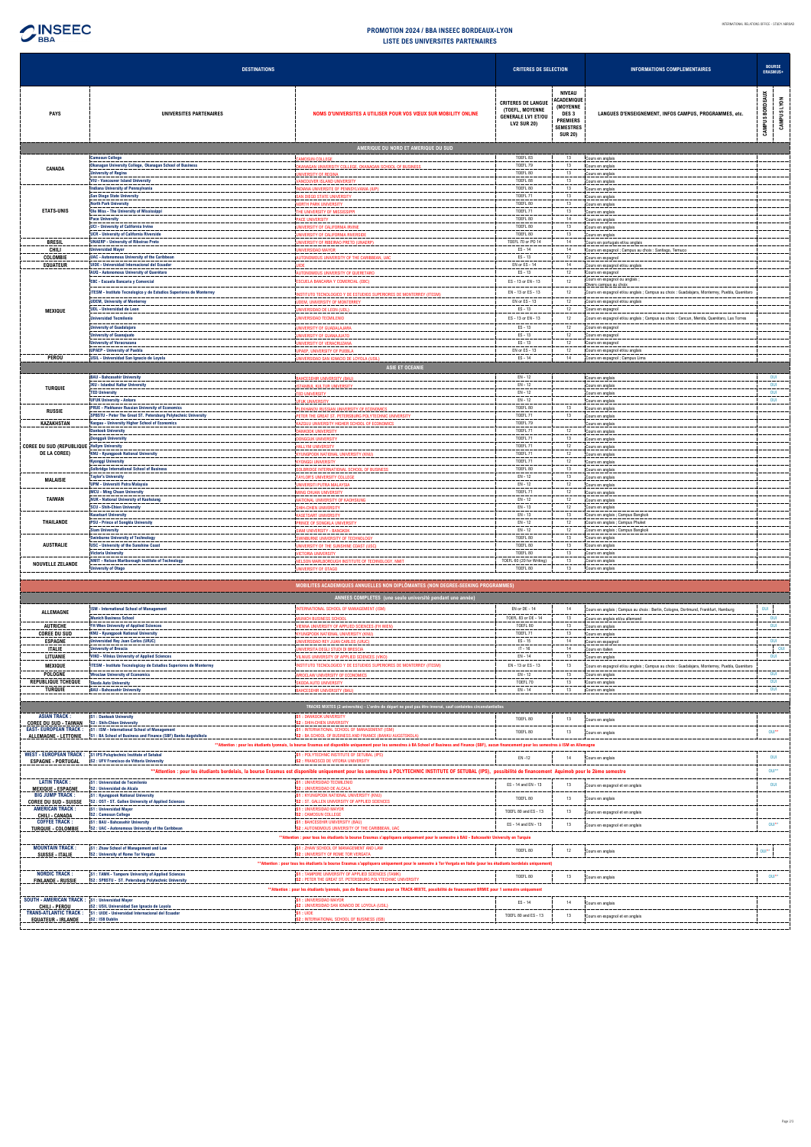

## **LISTE DES UNIVERSITES PARTENAIRES PROMOTION 2024 / BBA INSEEC BORDEAUX-LYON**

**INSEEC BBA** 

j,

|                                                              | <b>DESTINATIONS</b>                                                                                                       |                                                                                                                                                                                                               | <b>CRITERES DE SELECTION</b>                                                                    |                                                                                                               | <b>INFORMATIONS COMPLEMENTAIRES</b>                                                           | <b>BOURSE</b><br>ERASMUS+ |             |
|--------------------------------------------------------------|---------------------------------------------------------------------------------------------------------------------------|---------------------------------------------------------------------------------------------------------------------------------------------------------------------------------------------------------------|-------------------------------------------------------------------------------------------------|---------------------------------------------------------------------------------------------------------------|-----------------------------------------------------------------------------------------------|---------------------------|-------------|
| <b>PAYS</b>                                                  | UNIVERSITES PARTENAIRES                                                                                                   | NOMS D'UNIVERSITES A UTILISER POUR VOS VŒUX SUR MOBILITY ONLINE                                                                                                                                               | <b>CRITERES DE LANGUE</b><br>(TOEFL, MOYENNE<br><b>GENERALE LV1 ET/OU</b><br><b>LV2 SUR 20)</b> | NIVEAU<br>ACADEMIQUE<br>(MOYENNE<br>DES <sub>3</sub><br><b>PREMIERS</b><br><b>SEMESTRES</b><br><b>SUR 20)</b> | LANGUES D'ENSEIGNEMENT, INFOS CAMPUS, PROGRAMMES, etc.                                        | CAMPUS BORDEAUX           | CAMPUS LYON |
|                                                              |                                                                                                                           | AMERIQUE DU NORD ET AMERIQUE DU SUD                                                                                                                                                                           |                                                                                                 |                                                                                                               |                                                                                               |                           |             |
|                                                              | <b>Camosun College</b>                                                                                                    | CAMOSUN COLLEGE                                                                                                                                                                                               | TOEFL 83                                                                                        | 13                                                                                                            | Cours en anglais                                                                              |                           |             |
| CANADA                                                       | Okanagan University College, Okanagan School of Business<br>niversity of Regina                                           | OKANAGAN UNIVERSITY COLLEGE, OKANAGAN SCHOOL OF BUSINESS<br><b>NIVERSITY OF REGINA</b>                                                                                                                        | TOEFL 79<br>TOEFL 80                                                                            | 13<br>13                                                                                                      | Cours en anglais<br>Cours en anglais                                                          |                           |             |
|                                                              | <b>VIU - Vancouver Island University</b>                                                                                  | <b>VANCOUVER ISLAND UNIVERSITY</b>                                                                                                                                                                            | TOEFL 88                                                                                        | 13                                                                                                            | Cours en anglais                                                                              |                           |             |
|                                                              | <b>Indiana University of Pennsylvania</b>                                                                                 | INDIANA UNIVERSITE OF PENNSYLVANIA (IUP)                                                                                                                                                                      | TOEFL 80                                                                                        | 13                                                                                                            | Cours en anglais                                                                              |                           |             |
|                                                              | <b>San Diego State University</b><br><b>North Park University</b>                                                         | SAN DIEGO STATE UNIVERSITY<br><b>NORTH PARK UNIVERSITY</b>                                                                                                                                                    | TOEFL <sub>71</sub><br>TOEFL 80                                                                 | 13<br>13                                                                                                      | Cours en anglais<br>Cours en anglais                                                          |                           |             |
| <b>ETATS-UNIS</b>                                            | Ole Miss - The University of Mississippi                                                                                  | THE UNIVERSITY OF MISSISSIPPI                                                                                                                                                                                 | TOEFL 71                                                                                        | 13                                                                                                            | Cours en anglais                                                                              |                           |             |
|                                                              | <b>Pace University</b><br><b>UCI - University of California Irvine</b>                                                    | <b>PACE UNIVERSITY</b>                                                                                                                                                                                        | TOEFL 80<br>TOEFL 80                                                                            | 14<br>13                                                                                                      | Cours en anglais                                                                              |                           |             |
|                                                              | <b>UCR</b> - University of California Riverside                                                                           | <b>JNIVERSITY OF CALIFORNIA IRVINE</b><br>NIVERSITY OF CALIFORNIA RIVERSIDE                                                                                                                                   | TOEFL 80                                                                                        | 13                                                                                                            | Cours en anglais<br>Cours en anglais                                                          |                           |             |
| <b>BRESIL</b>                                                | <b>UNAERP - University of Ribeirao Preto</b>                                                                              | UNIVERSITY OF RIBEIRAO PRETO (UNAERP)                                                                                                                                                                         | TOEFL 70 or PO 14                                                                               | 14                                                                                                            | Cours en portugais et/ou anglais                                                              |                           |             |
| CHILI<br>COLOMBIE                                            | <b>Jniversidad Mayor</b><br><b>UAC - Autonomous University of the Caribbean</b>                                           | <b>JNIVERSIDAD MAYOR</b><br><b>NUTONOMOUS UNIVERSITY OF THE CARIBBEAN, UAC</b>                                                                                                                                | ES-14<br>$ES - 13$                                                                              | 14<br>12                                                                                                      | Cours en espagnol ; Campus au choix : Santiago, Temuco<br>Cours en espagnol                   |                           |             |
| <b>EQUATEUR</b>                                              | <b>UIDE - Universidad Internacional del Ecuador</b>                                                                       |                                                                                                                                                                                                               | EN or ES - 14                                                                                   | 14                                                                                                            | Cours en espagnol et/ou anglais                                                               |                           |             |
|                                                              | AUQ - Autonomous University of Querétaro                                                                                  | AUTONOMOUS UNIVERSITY OF QUERETARO                                                                                                                                                                            | $ES - 13$                                                                                       | 12                                                                                                            | Cours en espagnol<br>Cours en espagnol ou anglais ;                                           |                           |             |
|                                                              | <b>EBC - Escuela Bancaria y Comercial</b>                                                                                 | <b>ESCUELA BANCARIA Y COMERCIAL (EBC)</b>                                                                                                                                                                     | ES - 13 or EN - 13                                                                              | 12                                                                                                            | livers campus au choi                                                                         |                           |             |
|                                                              | ITESM - Instituto Tecnologico y de Estudios Superiores de Monterrey                                                       | STITUTO TECNOLOGICO Y DE ESTUDIOS SUPERIORES DE MONTERREY (ITESM)                                                                                                                                             | EN - 13 or ES - 13                                                                              | 12                                                                                                            | Cours en espagnol et/ou anglais ; Campus au choix : Guadalajara, Monterrey, Puebla, Querétaro |                           |             |
| <b>MEXIQUE</b>                                               | <b>UDEM, University of Monterrey</b><br><b>UDL - Universidad de Leon</b>                                                  | <b>IDEM, UNIVERSITY OF MONTERREY</b><br>VIVERSIDAD DE LEON (UDL)                                                                                                                                              | EN or ES - 13<br>$ES - 13$                                                                      | 12<br>12                                                                                                      | Cours en espagnol et/ou anglais<br>Cours en espagnol                                          |                           |             |
|                                                              | Iniversidad Tecmilenio                                                                                                    | <b>INIVERSIDAD TECMILENIO</b>                                                                                                                                                                                 | ES-13 or EN-13                                                                                  | 12                                                                                                            | Cours en espagnol et/ou anglais ; Campus au choix : Cancun, Merida, Querétaro, Las Torres     |                           |             |
|                                                              | <b>University of Guadalajara</b>                                                                                          | <b>INIVERSITY OF GUADALAJARA</b>                                                                                                                                                                              | $ES - 13$                                                                                       | 12                                                                                                            | Cours en espagnol                                                                             |                           |             |
|                                                              | <b>Jniversity of Guanajuato</b>                                                                                           | <b>NIVERSITY OF GUANAJUATO</b>                                                                                                                                                                                | $ES - 13$                                                                                       | 12                                                                                                            | Cours en espagnol                                                                             |                           |             |
|                                                              | <b>University of Veracruzana</b><br><b>UPAEP - University of Puebla</b>                                                   | <b>INIVERSITY OF VERACRUZANA</b><br>JPAEP, UNIVERSITY OF PUEBLA                                                                                                                                               | $ES - 13$<br>EN or ES - 13                                                                      | 12<br>12                                                                                                      | Cours en espagnol<br>Cours en espagnol et/ou anglais                                          |                           |             |
| PEROU                                                        | USIL - Universidad San Ignacio de Loyola                                                                                  | UNIVERSIDAD SAN IGNACIO DE LOYOLA (USIL)                                                                                                                                                                      | $ES - 14$                                                                                       | 14                                                                                                            | Cours en espagnol ; Campus Lima                                                               |                           |             |
|                                                              |                                                                                                                           | <b>ASIE ET OCEANIE</b>                                                                                                                                                                                        |                                                                                                 |                                                                                                               |                                                                                               |                           |             |
|                                                              | <b>BAU - Bahcesehir University</b>                                                                                        | <b>BAHCESEHIR UNIVERSITY (BAU)</b>                                                                                                                                                                            | EN - 12                                                                                         |                                                                                                               | Cours en anglais                                                                              | OUI                       |             |
| <b>TURQUIE</b>                                               | <b>IKU - Istanbul Kultur University</b><br><b>TED University</b>                                                          | <b>ISTANBUL KULTUR UNIVERSITY</b><br><b>TED UNIVERSITY</b>                                                                                                                                                    | $EN - 12$<br>$EN - 12$                                                                          |                                                                                                               | Cours en anglais<br>Cours en anglais                                                          | OUI<br>OUI                |             |
|                                                              | <b>UFUK University - Ankara</b>                                                                                           | <b>UFUK UNIVERSITY</b>                                                                                                                                                                                        | EN - 12                                                                                         |                                                                                                               | Cours en anglais                                                                              | <b>OUI</b>                |             |
| <b>RUSSIE</b>                                                | <b>PRUE - Plekhanov Russian University of Economics</b><br>SPBSTU - Peter The Great ST. Petersburg Polytechnic University | PLEKHANOV RUSSIAN UNIVERSITY OF ECONOMICS                                                                                                                                                                     | TOEFL 80<br>TOEFL 71                                                                            | 13<br>13                                                                                                      | Cours en anglais                                                                              |                           |             |
| <b>KAZAKHSTAN</b>                                            | Kazguu - University Higher School of Economics                                                                            | PETER THE GREAT ST. PETERSBURG POLYTECHNIC UNIVERSITY<br>KAZGUU UNIVERSITY HIGHER SCHOOL OF ECONOMICS                                                                                                         | TOEFL 79                                                                                        |                                                                                                               | Cours en anglais<br>Cours en anglais                                                          |                           |             |
|                                                              | <b>Dankook University</b>                                                                                                 | DANKOOK UNIVERSITY                                                                                                                                                                                            | TOEFL 71                                                                                        | 12                                                                                                            | Cours en anglais                                                                              |                           |             |
| COREE DU SUD (REPUBLIQUE Hallym University                   | <b>Dongguk Universiity</b>                                                                                                | <b>DONGGUK UNIVERSITY</b><br><b>HALLYM UNIVERSITY</b>                                                                                                                                                         | TOEFL 71<br>TOEFL 71                                                                            | 13<br>12                                                                                                      | Cours en anglais<br>Cours en anglais                                                          |                           |             |
| DE LA COREE)                                                 | <b>KNU - Kyungpook National University</b>                                                                                | KYUNGPOOK NATIONAL UNIVERSITY (KNU)                                                                                                                                                                           | TOEFL 71                                                                                        | 12                                                                                                            | Cours en anglais                                                                              |                           |             |
|                                                              | <b>Kyonggi University</b>                                                                                                 | <b>KYONGGI UNIVERSITY</b>                                                                                                                                                                                     | TOEFL 71                                                                                        | 12                                                                                                            | Cours en anglais                                                                              |                           |             |
|                                                              | <b>Solbridge International School of Business</b><br><b>Taylor's University</b>                                           | SOLBRIDGE INTERNATIONAL SCHOOL OF BUSINESS<br><b>TAYLOR'S UNIVERSITY COLLEGE</b>                                                                                                                              | TOEFL 80<br>$EN - 12$                                                                           | 13<br>13                                                                                                      | Cours en anglais<br>Cours en anglais                                                          |                           |             |
| <b>MALAISIE</b>                                              | <b>UPM - Universiti Putra Malaysia</b>                                                                                    | <b>UNIVERSITI PUTRA MALAYSIA</b>                                                                                                                                                                              | EN - 12                                                                                         | 12                                                                                                            | Cours en anglais                                                                              |                           |             |
| <b>TAIWAN</b>                                                | <b>MCU - Ming Chuan University</b>                                                                                        | <b>MING CHUAN UNIVERSITY</b>                                                                                                                                                                                  | TOEFL 71                                                                                        | 12                                                                                                            | Cours en anglais                                                                              |                           |             |
|                                                              | <b>NUK - National University of Kaohsiung</b><br><b>SCU - Shih-Chien University</b>                                       | NATIONAL UNIVERSITY OF KAOHSIUNG<br><b>SHIH-CHIEN UNIVERSITY</b>                                                                                                                                              | $EN - 12$<br>EN - 13                                                                            | 12<br>12                                                                                                      | Cours en anglais<br>Cours en anglais                                                          |                           |             |
|                                                              | <b>Kasetsart University</b>                                                                                               | <b>KASETSART UNIVERSITY</b>                                                                                                                                                                                   | $EN - 13$                                                                                       | 13                                                                                                            | Cours en anglais ; Campus Bangkok                                                             |                           |             |
| <b>THAILANDE</b>                                             | <b>PSU - Prince of Songkla University</b>                                                                                 | PRINCE OF SONGKLA UNIVERSITY                                                                                                                                                                                  | $EN - 12$<br>$EN - 12$                                                                          | 12                                                                                                            | Cours en anglais ; Campus Phuket                                                              |                           |             |
|                                                              | <b>Siam University</b><br><b>Swinburne University of Technology</b>                                                       | <b>SIAM UNIVERSITY - BANGKOK</b><br><b>WINBURNE UNIVERSITY OF TECHNOLOGY</b>                                                                                                                                  | TOEFL 80                                                                                        | 12<br>13                                                                                                      | Cours en anglais ; Campus Bangkok<br>Cours en anglais                                         |                           |             |
| <b>AUSTRALIE</b>                                             | <b>USC - University of the Sunshine Coast</b>                                                                             | UNIVERSITY OF THE SUNSHINE COAST (USC)                                                                                                                                                                        | TOEFL 80                                                                                        | 13                                                                                                            | Cours en anglais                                                                              |                           |             |
|                                                              | <b>Victoria University</b><br>NMIT - Nelson Marlborough Institute of Technology                                           | <b>VICTORIA UNIVERSITY</b><br><b>NELSON MARLBOROUGH INSTITUTE OF TECHNOLOGY, NMIT</b>                                                                                                                         | TOEFL 80<br>TOEFL 60 (20 for Writing)                                                           | 13<br>13                                                                                                      | Cours en anglais<br>Cours en anglais                                                          |                           |             |
| <b>NOUVELLE ZELANDE</b>                                      | <b>University of Otago</b>                                                                                                | UNIVERSITY OF OTAGO                                                                                                                                                                                           | TOEFL 80                                                                                        | 13                                                                                                            | Cours en anglais                                                                              |                           |             |
|                                                              |                                                                                                                           |                                                                                                                                                                                                               |                                                                                                 |                                                                                                               |                                                                                               |                           |             |
|                                                              |                                                                                                                           | MOBILITES ACADEMIQUES ANNUELLES NON DIPLÔMANTES (NON DEGREE-SEEKING PROGRAMMES)                                                                                                                               |                                                                                                 |                                                                                                               |                                                                                               |                           |             |
|                                                              |                                                                                                                           | ANNEES COMPLETES (une seule université pendant une année)                                                                                                                                                     |                                                                                                 |                                                                                                               |                                                                                               |                           |             |
| ALLEMAGNE                                                    | <b>ISM - International School of Management</b>                                                                           | NTERNATIONAL SCHOOL OF MANAGEMENT (ISM)                                                                                                                                                                       | EN or DE - 14                                                                                   | 14                                                                                                            | Cours en anglais ; Campus au choix : Berlin, Cologne, Dortmund, Frankfurt, Hamburg            | OUI                       |             |
|                                                              | <b>Munich Business School</b>                                                                                             | <b>JNICH BUSINESS SCHOOL</b>                                                                                                                                                                                  | TOEFL 83 or DE - 14                                                                             | 13                                                                                                            | Cours en anglais et/ou allemand                                                               | OUI                       |             |
| <b>AUTRICHE</b><br><b>COREE DU SUD</b>                       | <b>FH Wien University of Applied Sciences</b><br><b>KNU - Kyungpook National University</b>                               | <b>IN THE SERVICE OF APPLIED SCIENCES (FH WIEN)</b><br>KYUNGPOOK NATIONAL UNIVERSITY (KNU)                                                                                                                    | TOEFL 80<br>TOEFL 71                                                                            | 13<br>13                                                                                                      | Cours en anglais<br>Cours en anglais                                                          | OUI                       |             |
| <b>ESPAGNE</b>                                               | <b>Universidad Rey Juan Carlos (URJC)</b>                                                                                 | INIVERSIDAD REY JUAN CARLOS (URJC)                                                                                                                                                                            | $ES - 15$                                                                                       | 14                                                                                                            | Cours en espagnol                                                                             | OUI                       |             |
| <b>ITALIE</b><br>LITUANIE                                    | <b>University of Brescia</b><br><b>VIKO - Vilnius University of Applied Sciences</b>                                      | <b>INIVERSITA DEGLI STUDI DI BRESCIA</b><br><b>/ILNIUS UNIVERSITY OF APPLIED SCIENCES (VIKO)</b>                                                                                                              | $IT - 16$<br>EN - 14                                                                            | 14<br>13                                                                                                      | Cours en italien<br>Cours en anglais                                                          | OUI                       | OUI         |
| <b>MEXIQUE</b>                                               | ITESM - Instituto Tecnologicoy de Estudios Superiores de Monterrey                                                        | NSTITUTO TECNOLOGICO Y DE ESTUDIOS SUPERIORES DE MONTERREY (ITESM)                                                                                                                                            | EN - 13 or ES - 13                                                                              | 13                                                                                                            | Cours en espagnol et/ou anglais ; Campus au choix : Guadalajara, Monterrey, Puebla, Querétaro |                           |             |
| POLOGNE                                                      | <b>Wroclaw University of Economics</b>                                                                                    | <b>VROCLAW UNIVERSITY OF ECONOMICS</b>                                                                                                                                                                        | $EN - 12$                                                                                       | 13                                                                                                            | Cours en anglais                                                                              | OUI                       |             |
| <b>REPUBLIQUE TCHEQUE</b>                                    | <b>Skoda Auto University</b>                                                                                              | <b>KODA AUTO UNIVERSITY</b>                                                                                                                                                                                   | TOEFL 70                                                                                        | 13                                                                                                            | Cours en anglais                                                                              | OUI                       |             |
| <b>TURQUIE</b>                                               | <b>BAU - Bahcesehir University</b>                                                                                        | <b>BAHCESEHIR UNIVERSITY (BAU)</b>                                                                                                                                                                            | EN - 14                                                                                         | 13                                                                                                            | Cours en anglais                                                                              | OUI                       |             |
|                                                              |                                                                                                                           | TRACKS MIXTES (2 universités) - L'ordre de départ ne peut pas être inversé, sauf containtes circonstantielles                                                                                                 |                                                                                                 |                                                                                                               |                                                                                               |                           |             |
| <b>ASIAN TRACK:</b>                                          | <b>S1: Dankook University</b>                                                                                             | <b>S1: DANKOOK UNIVERSITY</b>                                                                                                                                                                                 | TOEFL 80                                                                                        | 13                                                                                                            | Cours en anglais                                                                              |                           |             |
| <b>COREE DU SUD - TAIWAN</b><br><b>EAST- EUROPEAN TRACK:</b> | S2 : Shih-Chien University<br>S1: ISM - International School of Management                                                | <b>S2: SHIH-CHIEN UNIVERSITY</b><br>S1: INTERNATIONAL SCHOOL OF MANAGEMENT (ISM)                                                                                                                              |                                                                                                 |                                                                                                               |                                                                                               |                           |             |
| <b>ALLEMAGNE - LETTONIE</b>                                  | S1 : BA School of Business and Finance (SBF) Banku Augstslkola                                                            | S2: BA SCHOOL OF BUSINESS AND FINANCE (BANKU AUGSTSKOLA)                                                                                                                                                      | TOEFL 80                                                                                        | 13                                                                                                            | Cours en anglais                                                                              | OUI**                     |             |
|                                                              |                                                                                                                           | **Attention : pour les étudiants lyonnais, la bourse Erasmus est disponible uniquement pour les semestres à BA School of Business and Finance (SBF), aucun financement pour les semestres à ISM en Allemagne  |                                                                                                 |                                                                                                               |                                                                                               |                           |             |
| <b>ESPAGNE - PORTUGAL</b>                                    | WEST - EUROPEAN TRACK : S1 IPS Poluytechnic Institute of Setubal<br>S2 : UFV Francisco de Vittoria University             | S1: POLYTECHNIC INSTITUTE OF SETUBAL (IPS)<br>S2: FRANCISCO DE VITORIA UNIVERSITY                                                                                                                             | $EN - 12$                                                                                       | 14                                                                                                            | Cours en anglais                                                                              | OUI                       |             |
|                                                              |                                                                                                                           | **Attention : pour les étudiants bordelais, la bourse Erasmus est disponible uniquement pour les semestres à POLYTECHNIC INSTITUTE OF SETUBAL (IPS), possibilité de financement Aquimob pour le 2ème semestre |                                                                                                 |                                                                                                               |                                                                                               | OUI**                     |             |
| <b>LATIN TRACK:</b>                                          | <b>S1 : Universidad de Tecmilenio</b>                                                                                     | S1: UNIVERSIDAD TECMILENIO                                                                                                                                                                                    |                                                                                                 |                                                                                                               |                                                                                               |                           |             |
| <b>MEXIQUE - ESPAGNE</b>                                     | S2 : Universidad de Alcala                                                                                                | S2: UNIVERSIDAD DE ALCALA                                                                                                                                                                                     | ES - 14 and EN - 13                                                                             | 13                                                                                                            | Cours en espagnol et en anglais                                                               | OUI                       |             |
| <b>BIG JUMP TRACK:</b><br><b>COREE DU SUD - SUISSE</b>       | <b>S1: Kyungpook National University</b><br>S2: OST - ST. Gallen University of Applied Sciences                           | S1: KYUNGPOOK NATIONAL UNIVERSITY (KNU)<br>S2: ST. GALLEN UNIVERSITY OF APPLIED SCIENCES                                                                                                                      | TOEFL 80                                                                                        | 13                                                                                                            | Cours en anglais                                                                              |                           |             |
| <b>AMERICAN TRACK:</b>                                       | <b>S1: Universidad Mayor</b><br><b>S2: Camosun College</b>                                                                | <b>S1: UNIVERSIDAD MAYOR</b><br><b>S2: CAMOSUN COLLEGE</b>                                                                                                                                                    | TOEFL 80 and ES - 13                                                                            | 13                                                                                                            | Cours en espagnol et en anglais                                                               |                           |             |
| <b>CHILI - CANADA</b><br><b>COFFEE TRACK</b>                 | S1: BAU - Bahcesehir University                                                                                           | S1: BAHCESEHIR UNIVERSITY (BAU)                                                                                                                                                                               | ES - 14 and EN - 13                                                                             | 13                                                                                                            | Cours en espagnol et en anglais                                                               | OUI**                     |             |
| <b>TURQUIE - COLOMBIE</b>                                    | S2: UAC - Autonomous University of the Caribbean                                                                          | S2: AUTONOMOUS UNIVERSITY OF THE CARIBBEAN, UAC                                                                                                                                                               |                                                                                                 |                                                                                                               |                                                                                               |                           |             |
|                                                              |                                                                                                                           | **Attention : pour tous les étudiants la bourse Erasmus s'appliquera uniquement pour le semestre à BAU - Bahcesehir University en Turquie                                                                     |                                                                                                 |                                                                                                               |                                                                                               |                           |             |
| <b>MOUNTAIN TRACK:</b><br>SUISSE - ITALIE                    | S1: Zhaw School of Management and Law<br><b>S2: University of Rome Tor Vergata</b>                                        | S1: ZHAW SCHOOL OF MANAGEMENT AND LAW<br><b>S2: UNIVERSITY OF ROME TOR VERGATA</b>                                                                                                                            | TOEFL 80                                                                                        | 12                                                                                                            | Cours en anglais                                                                              | $OU$ **                   |             |

| <b>NORDIC TRACK:</b><br><b>FINLANDE - RUSSIE</b>                                                                                                  | S1: TAMK - Tampere University of Applied Sciences<br>S2: SPBSTU - ST. Petersburg Polytechnic University | S1: TAMPERE UNIVERSITY OF APPLIED SCIENCES (TAMK)<br>S2: PETER THE GREAT ST. PETERSBURG POLYTECHNIC UNIVERSITY | TOEFL 80             |  | Cours en anglais                |  |
|---------------------------------------------------------------------------------------------------------------------------------------------------|---------------------------------------------------------------------------------------------------------|----------------------------------------------------------------------------------------------------------------|----------------------|--|---------------------------------|--|
| **Attention : pour les étudiants lyonnais, pas de Bourse Erasmus pour ce TRACK-MIXTE, possibilité de financement BRMIE pour 1 semestre uniquement |                                                                                                         |                                                                                                                |                      |  |                                 |  |
| SOUTH - AMERICAN TRACK : 51 : Universidad Mayor<br>CHILI - PEROU                                                                                  | S2: USIL Universidad San Ignacio de Lovola                                                              | : UNIVERSIDAD MAYOR<br>JIVERSIDAD SAN IGNACIO DE LOYOLA (LISIL                                                 | $ES - 14$            |  | Cours en anglais                |  |
| <b>TRANS-ATLANTIC TRACK:</b><br><b>EQUATEUR - IRLANDE</b>                                                                                         | S1: UIDE - Universidad Internacional del Ecuador<br>S2: ISB Dublin                                      |                                                                                                                | TOEFL 80 and ES - 13 |  | Cours en espagnol et en anglais |  |
|                                                                                                                                                   |                                                                                                         |                                                                                                                |                      |  |                                 |  |

**\*\*Attention : pour tous les étudiants la bourse Erasmus s'appliquera uniquement pour le semestre à Tor Vergata en Italie (pour les étudiants bordelais uniquement)**

J.